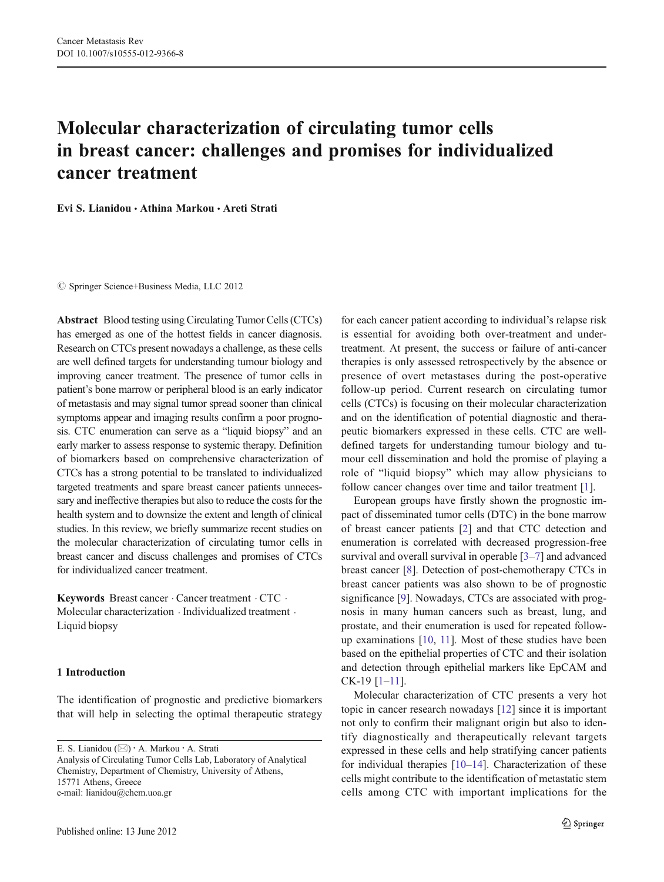# Molecular characterization of circulating tumor cells in breast cancer: challenges and promises for individualized cancer treatment

Evi S. Lianidou & Athina Markou & Areti Strati

 $©$  Springer Science+Business Media, LLC 2012

Abstract Blood testing using Circulating Tumor Cells (CTCs) has emerged as one of the hottest fields in cancer diagnosis. Research on CTCs present nowadays a challenge, as these cells are well defined targets for understanding tumour biology and improving cancer treatment. The presence of tumor cells in patient's bone marrow or peripheral blood is an early indicator of metastasis and may signal tumor spread sooner than clinical symptoms appear and imaging results confirm a poor prognosis. CTC enumeration can serve as a "liquid biopsy" and an early marker to assess response to systemic therapy. Definition of biomarkers based on comprehensive characterization of CTCs has a strong potential to be translated to individualized targeted treatments and spare breast cancer patients unnecessary and ineffective therapies but also to reduce the costs for the health system and to downsize the extent and length of clinical studies. In this review, we briefly summarize recent studies on the molecular characterization of circulating tumor cells in breast cancer and discuss challenges and promises of CTCs for individualized cancer treatment.

Keywords Breast cancer . Cancer treatment . CTC . Molecular characterization . Individualized treatment . Liquid biopsy

## 1 Introduction

The identification of prognostic and predictive biomarkers that will help in selecting the optimal therapeutic strategy

E. S. Lianidou (⊠) · A. Markou · A. Strati Analysis of Circulating Tumor Cells Lab, Laboratory of Analytical Chemistry, Department of Chemistry, University of Athens, 15771 Athens, Greece e-mail: lianidou@chem.uoa.gr

for each cancer patient according to individual's relapse risk is essential for avoiding both over-treatment and undertreatment. At present, the success or failure of anti-cancer therapies is only assessed retrospectively by the absence or presence of overt metastases during the post-operative follow-up period. Current research on circulating tumor cells (CTCs) is focusing on their molecular characterization and on the identification of potential diagnostic and therapeutic biomarkers expressed in these cells. CTC are welldefined targets for understanding tumour biology and tumour cell dissemination and hold the promise of playing a role of "liquid biopsy" which may allow physicians to follow cancer changes over time and tailor treatment [[1\]](#page-6-0).

European groups have firstly shown the prognostic impact of disseminated tumor cells (DTC) in the bone marrow of breast cancer patients [\[2](#page-6-0)] and that CTC detection and enumeration is correlated with decreased progression-free survival and overall survival in operable [[3](#page-6-0)–[7\]](#page-6-0) and advanced breast cancer [[8\]](#page-6-0). Detection of post-chemotherapy CTCs in breast cancer patients was also shown to be of prognostic significance [\[9](#page-6-0)]. Nowadays, CTCs are associated with prognosis in many human cancers such as breast, lung, and prostate, and their enumeration is used for repeated followup examinations [[10,](#page-6-0) [11](#page-6-0)]. Most of these studies have been based on the epithelial properties of CTC and their isolation and detection through epithelial markers like EpCAM and CK-19 [\[1](#page-6-0)–[11](#page-6-0)].

Molecular characterization of CTC presents a very hot topic in cancer research nowadays [\[12](#page-6-0)] since it is important not only to confirm their malignant origin but also to identify diagnostically and therapeutically relevant targets expressed in these cells and help stratifying cancer patients for individual therapies [\[10](#page-6-0)–[14](#page-6-0)]. Characterization of these cells might contribute to the identification of metastatic stem cells among CTC with important implications for the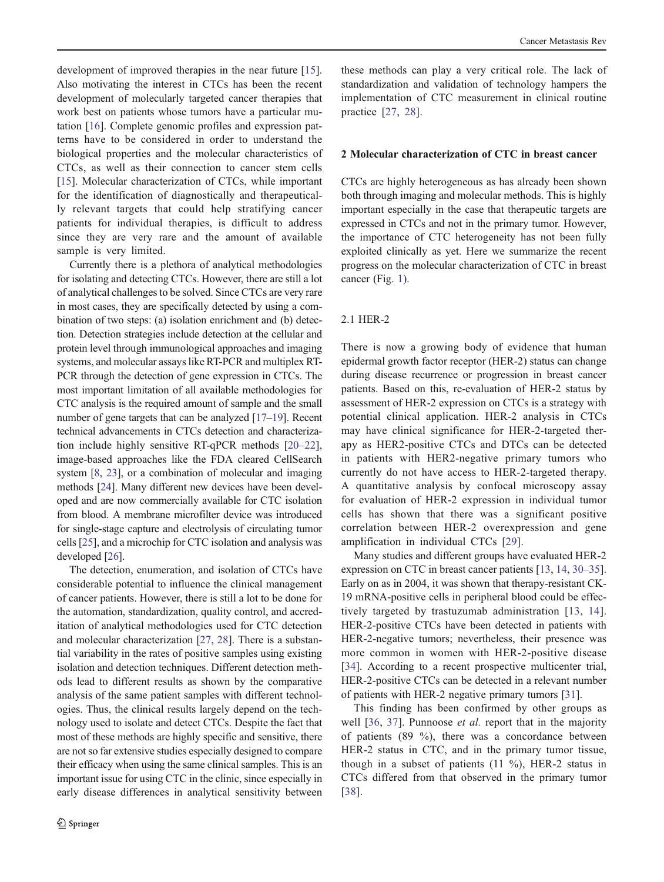development of improved therapies in the near future [\[15](#page-6-0)]. Also motivating the interest in CTCs has been the recent development of molecularly targeted cancer therapies that work best on patients whose tumors have a particular mutation [[16\]](#page-6-0). Complete genomic profiles and expression patterns have to be considered in order to understand the biological properties and the molecular characteristics of CTCs, as well as their connection to cancer stem cells [\[15](#page-6-0)]. Molecular characterization of CTCs, while important for the identification of diagnostically and therapeutically relevant targets that could help stratifying cancer patients for individual therapies, is difficult to address since they are very rare and the amount of available sample is very limited.

Currently there is a plethora of analytical methodologies for isolating and detecting CTCs. However, there are still a lot of analytical challenges to be solved. Since CTCs are very rare in most cases, they are specifically detected by using a combination of two steps: (a) isolation enrichment and (b) detection. Detection strategies include detection at the cellular and protein level through immunological approaches and imaging systems, and molecular assays like RT-PCR and multiplex RT-PCR through the detection of gene expression in CTCs. The most important limitation of all available methodologies for CTC analysis is the required amount of sample and the small number of gene targets that can be analyzed [\[17](#page-6-0)–[19\]](#page-6-0). Recent technical advancements in CTCs detection and characterization include highly sensitive RT-qPCR methods [\[20](#page-6-0)–[22](#page-6-0)], image-based approaches like the FDA cleared CellSearch system [[8,](#page-6-0) [23](#page-6-0)], or a combination of molecular and imaging methods [\[24\]](#page-6-0). Many different new devices have been developed and are now commercially available for CTC isolation from blood. A membrane microfilter device was introduced for single-stage capture and electrolysis of circulating tumor cells [[25\]](#page-6-0), and a microchip for CTC isolation and analysis was developed [[26](#page-7-0)].

The detection, enumeration, and isolation of CTCs have considerable potential to influence the clinical management of cancer patients. However, there is still a lot to be done for the automation, standardization, quality control, and accreditation of analytical methodologies used for CTC detection and molecular characterization [[27,](#page-7-0) [28\]](#page-7-0). There is a substantial variability in the rates of positive samples using existing isolation and detection techniques. Different detection methods lead to different results as shown by the comparative analysis of the same patient samples with different technologies. Thus, the clinical results largely depend on the technology used to isolate and detect CTCs. Despite the fact that most of these methods are highly specific and sensitive, there are not so far extensive studies especially designed to compare their efficacy when using the same clinical samples. This is an important issue for using CTC in the clinic, since especially in early disease differences in analytical sensitivity between

these methods can play a very critical role. The lack of standardization and validation of technology hampers the implementation of CTC measurement in clinical routine practice [[27](#page-7-0), [28](#page-7-0)].

## 2 Molecular characterization of CTC in breast cancer

CTCs are highly heterogeneous as has already been shown both through imaging and molecular methods. This is highly important especially in the case that therapeutic targets are expressed in CTCs and not in the primary tumor. However, the importance of CTC heterogeneity has not been fully exploited clinically as yet. Here we summarize the recent progress on the molecular characterization of CTC in breast cancer (Fig. [1\)](#page-2-0).

## 2.1 HER-2

There is now a growing body of evidence that human epidermal growth factor receptor (HER-2) status can change during disease recurrence or progression in breast cancer patients. Based on this, re-evaluation of HER-2 status by assessment of HER-2 expression on CTCs is a strategy with potential clinical application. HER-2 analysis in CTCs may have clinical significance for HER-2-targeted therapy as HER2-positive CTCs and DTCs can be detected in patients with HER2-negative primary tumors who currently do not have access to HER-2-targeted therapy. A quantitative analysis by confocal microscopy assay for evaluation of HER-2 expression in individual tumor cells has shown that there was a significant positive correlation between HER-2 overexpression and gene amplification in individual CTCs [[29\]](#page-7-0).

Many studies and different groups have evaluated HER-2 expression on CTC in breast cancer patients [\[13](#page-6-0), [14,](#page-6-0) [30](#page-7-0)–[35\]](#page-7-0). Early on as in 2004, it was shown that therapy-resistant CK-19 mRNA-positive cells in peripheral blood could be effectively targeted by trastuzumab administration [[13,](#page-6-0) [14](#page-6-0)]. HER-2-positive CTCs have been detected in patients with HER-2-negative tumors; nevertheless, their presence was more common in women with HER-2-positive disease [\[34](#page-7-0)]. According to a recent prospective multicenter trial, HER-2-positive CTCs can be detected in a relevant number of patients with HER-2 negative primary tumors [[31\]](#page-7-0).

This finding has been confirmed by other groups as well [[36,](#page-7-0) [37](#page-7-0)]. Punnoose *et al.* report that in the majority of patients (89 %), there was a concordance between HER-2 status in CTC, and in the primary tumor tissue, though in a subset of patients (11 %), HER-2 status in CTCs differed from that observed in the primary tumor [\[38\]](#page-7-0).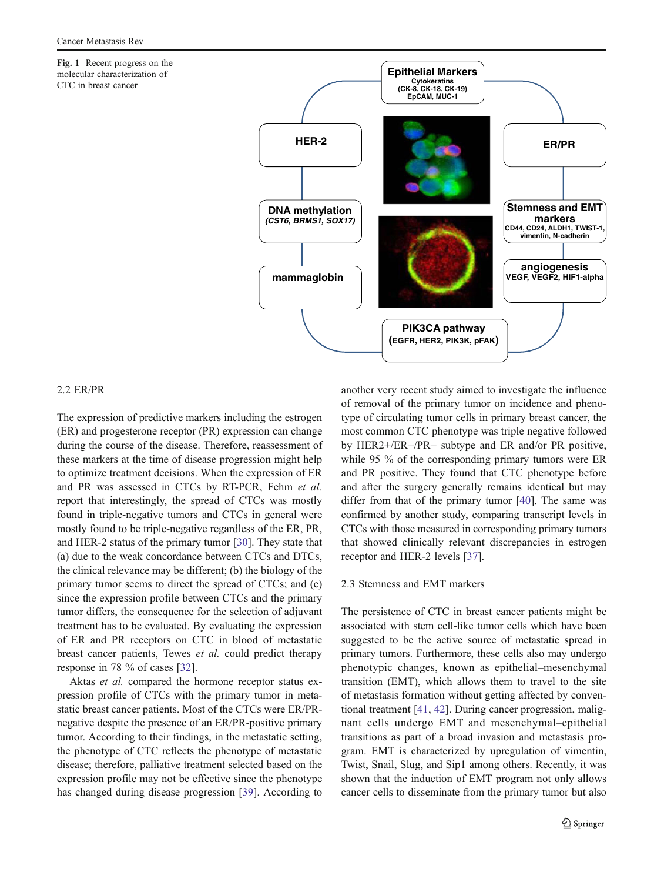<span id="page-2-0"></span>Fig. 1 Recent progress on the molecular characterization of CTC in breast cancer



## 2.2 ER/PR

The expression of predictive markers including the estrogen (ER) and progesterone receptor (PR) expression can change during the course of the disease. Therefore, reassessment of these markers at the time of disease progression might help to optimize treatment decisions. When the expression of ER and PR was assessed in CTCs by RT-PCR, Fehm et al. report that interestingly, the spread of CTCs was mostly found in triple-negative tumors and CTCs in general were mostly found to be triple-negative regardless of the ER, PR, and HER-2 status of the primary tumor [\[30](#page-7-0)]. They state that (a) due to the weak concordance between CTCs and DTCs, the clinical relevance may be different; (b) the biology of the primary tumor seems to direct the spread of CTCs; and (c) since the expression profile between CTCs and the primary tumor differs, the consequence for the selection of adjuvant treatment has to be evaluated. By evaluating the expression of ER and PR receptors on CTC in blood of metastatic breast cancer patients, Tewes et al. could predict therapy response in 78 % of cases [[32\]](#page-7-0).

Aktas et al. compared the hormone receptor status expression profile of CTCs with the primary tumor in metastatic breast cancer patients. Most of the CTCs were ER/PRnegative despite the presence of an ER/PR-positive primary tumor. According to their findings, in the metastatic setting, the phenotype of CTC reflects the phenotype of metastatic disease; therefore, palliative treatment selected based on the expression profile may not be effective since the phenotype has changed during disease progression [\[39](#page-7-0)]. According to another very recent study aimed to investigate the influence of removal of the primary tumor on incidence and phenotype of circulating tumor cells in primary breast cancer, the most common CTC phenotype was triple negative followed by HER2+/ER−/PR− subtype and ER and/or PR positive, while 95 % of the corresponding primary tumors were ER and PR positive. They found that CTC phenotype before and after the surgery generally remains identical but may differ from that of the primary tumor [\[40](#page-7-0)]. The same was confirmed by another study, comparing transcript levels in CTCs with those measured in corresponding primary tumors that showed clinically relevant discrepancies in estrogen receptor and HER-2 levels [[37\]](#page-7-0).

## 2.3 Stemness and EMT markers

The persistence of CTC in breast cancer patients might be associated with stem cell-like tumor cells which have been suggested to be the active source of metastatic spread in primary tumors. Furthermore, these cells also may undergo phenotypic changes, known as epithelial–mesenchymal transition (EMT), which allows them to travel to the site of metastasis formation without getting affected by conventional treatment [\[41](#page-7-0), [42\]](#page-7-0). During cancer progression, malignant cells undergo EMT and mesenchymal–epithelial transitions as part of a broad invasion and metastasis program. EMT is characterized by upregulation of vimentin, Twist, Snail, Slug, and Sip1 among others. Recently, it was shown that the induction of EMT program not only allows cancer cells to disseminate from the primary tumor but also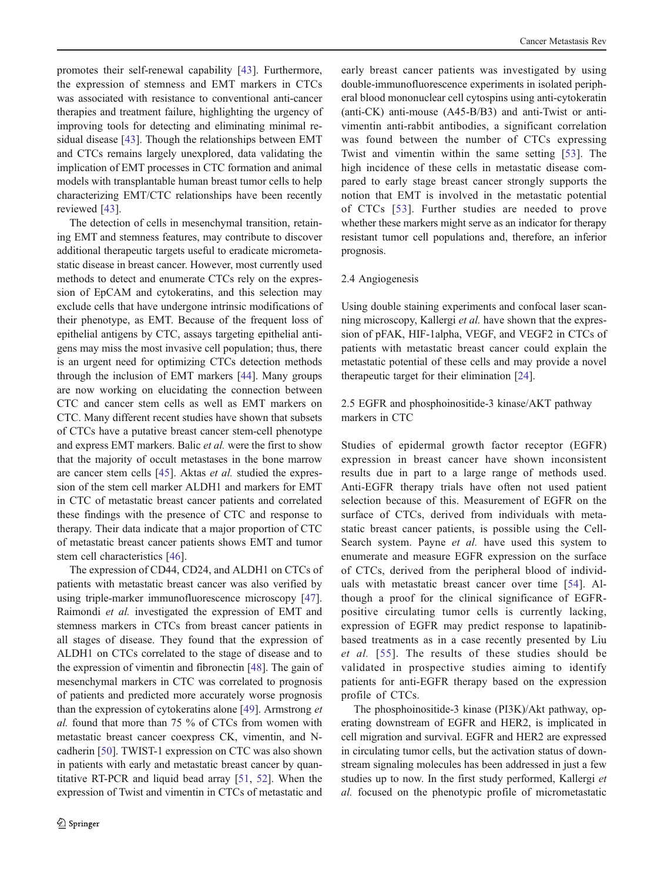promotes their self-renewal capability [\[43](#page-7-0)]. Furthermore, the expression of stemness and EMT markers in CTCs was associated with resistance to conventional anti-cancer therapies and treatment failure, highlighting the urgency of improving tools for detecting and eliminating minimal residual disease [[43\]](#page-7-0). Though the relationships between EMT and CTCs remains largely unexplored, data validating the implication of EMT processes in CTC formation and animal models with transplantable human breast tumor cells to help characterizing EMT/CTC relationships have been recently reviewed [\[43](#page-7-0)].

The detection of cells in mesenchymal transition, retaining EMT and stemness features, may contribute to discover additional therapeutic targets useful to eradicate micrometastatic disease in breast cancer. However, most currently used methods to detect and enumerate CTCs rely on the expression of EpCAM and cytokeratins, and this selection may exclude cells that have undergone intrinsic modifications of their phenotype, as EMT. Because of the frequent loss of epithelial antigens by CTC, assays targeting epithelial antigens may miss the most invasive cell population; thus, there is an urgent need for optimizing CTCs detection methods through the inclusion of EMT markers [[44\]](#page-7-0). Many groups are now working on elucidating the connection between CTC and cancer stem cells as well as EMT markers on CTC. Many different recent studies have shown that subsets of CTCs have a putative breast cancer stem-cell phenotype and express EMT markers. Balic et al. were the first to show that the majority of occult metastases in the bone marrow are cancer stem cells [\[45](#page-7-0)]. Aktas et al. studied the expression of the stem cell marker ALDH1 and markers for EMT in CTC of metastatic breast cancer patients and correlated these findings with the presence of CTC and response to therapy. Their data indicate that a major proportion of CTC of metastatic breast cancer patients shows EMT and tumor stem cell characteristics [\[46](#page-7-0)].

The expression of CD44, CD24, and ALDH1 on CTCs of patients with metastatic breast cancer was also verified by using triple-marker immunofluorescence microscopy [\[47](#page-7-0)]. Raimondi et al. investigated the expression of EMT and stemness markers in CTCs from breast cancer patients in all stages of disease. They found that the expression of ALDH1 on CTCs correlated to the stage of disease and to the expression of vimentin and fibronectin [\[48](#page-7-0)]. The gain of mesenchymal markers in CTC was correlated to prognosis of patients and predicted more accurately worse prognosis than the expression of cytokeratins alone [[49\]](#page-7-0). Armstrong et al. found that more than 75 % of CTCs from women with metastatic breast cancer coexpress CK, vimentin, and Ncadherin [[50\]](#page-7-0). TWIST-1 expression on CTC was also shown in patients with early and metastatic breast cancer by quantitative RT-PCR and liquid bead array [[51,](#page-7-0) [52](#page-7-0)]. When the expression of Twist and vimentin in CTCs of metastatic and

early breast cancer patients was investigated by using double-immunofluorescence experiments in isolated peripheral blood mononuclear cell cytospins using anti-cytokeratin (anti-CK) anti-mouse (A45-B/B3) and anti-Twist or antivimentin anti-rabbit antibodies, a significant correlation was found between the number of CTCs expressing Twist and vimentin within the same setting [\[53](#page-7-0)]. The high incidence of these cells in metastatic disease compared to early stage breast cancer strongly supports the notion that EMT is involved in the metastatic potential of CTCs [[53\]](#page-7-0). Further studies are needed to prove whether these markers might serve as an indicator for therapy resistant tumor cell populations and, therefore, an inferior prognosis.

## 2.4 Angiogenesis

Using double staining experiments and confocal laser scanning microscopy, Kallergi et al. have shown that the expression of pFAK, HIF-1alpha, VEGF, and VEGF2 in CTCs of patients with metastatic breast cancer could explain the metastatic potential of these cells and may provide a novel therapeutic target for their elimination [[24\]](#page-6-0).

## 2.5 EGFR and phosphoinositide-3 kinase/AKT pathway markers in CTC

Studies of epidermal growth factor receptor (EGFR) expression in breast cancer have shown inconsistent results due in part to a large range of methods used. Anti-EGFR therapy trials have often not used patient selection because of this. Measurement of EGFR on the surface of CTCs, derived from individuals with metastatic breast cancer patients, is possible using the Cell-Search system. Payne et al. have used this system to enumerate and measure EGFR expression on the surface of CTCs, derived from the peripheral blood of individuals with metastatic breast cancer over time [\[54\]](#page-7-0). Although a proof for the clinical significance of EGFRpositive circulating tumor cells is currently lacking, expression of EGFR may predict response to lapatinibbased treatments as in a case recently presented by Liu et al. [[55\]](#page-7-0). The results of these studies should be validated in prospective studies aiming to identify patients for anti-EGFR therapy based on the expression profile of CTCs.

The phosphoinositide-3 kinase (PI3K)/Akt pathway, operating downstream of EGFR and HER2, is implicated in cell migration and survival. EGFR and HER2 are expressed in circulating tumor cells, but the activation status of downstream signaling molecules has been addressed in just a few studies up to now. In the first study performed, Kallergi et al. focused on the phenotypic profile of micrometastatic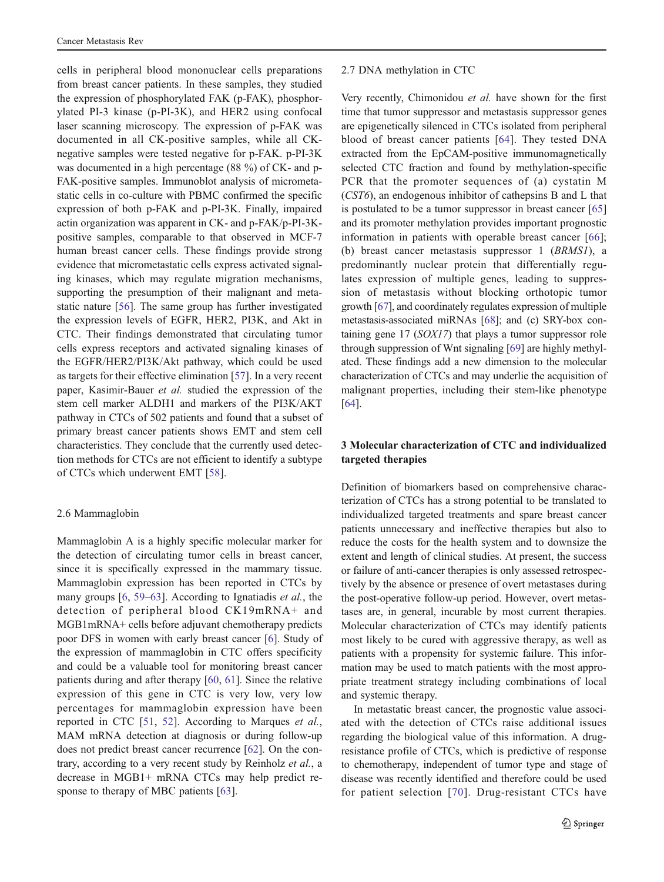cells in peripheral blood mononuclear cells preparations from breast cancer patients. In these samples, they studied the expression of phosphorylated FAK (p-FAK), phosphorylated PI-3 kinase (p-PI-3K), and HER2 using confocal laser scanning microscopy. The expression of p-FAK was documented in all CK-positive samples, while all CKnegative samples were tested negative for p-FAK. p-PI-3K was documented in a high percentage (88 %) of CK- and p-FAK-positive samples. Immunoblot analysis of micrometastatic cells in co-culture with PBMC confirmed the specific expression of both p-FAK and p-PI-3K. Finally, impaired actin organization was apparent in CK- and p-FAK/p-PI-3Kpositive samples, comparable to that observed in MCF-7 human breast cancer cells. These findings provide strong evidence that micrometastatic cells express activated signaling kinases, which may regulate migration mechanisms, supporting the presumption of their malignant and metastatic nature [\[56](#page-8-0)]. The same group has further investigated the expression levels of EGFR, HER2, PI3K, and Akt in CTC. Their findings demonstrated that circulating tumor cells express receptors and activated signaling kinases of the EGFR/HER2/PI3K/Akt pathway, which could be used as targets for their effective elimination [\[57](#page-8-0)]. In a very recent paper, Kasimir-Bauer et al. studied the expression of the stem cell marker ALDH1 and markers of the PI3K/AKT pathway in CTCs of 502 patients and found that a subset of primary breast cancer patients shows EMT and stem cell characteristics. They conclude that the currently used detection methods for CTCs are not efficient to identify a subtype of CTCs which underwent EMT [[58\]](#page-8-0).

#### 2.6 Mammaglobin

Mammaglobin A is a highly specific molecular marker for the detection of circulating tumor cells in breast cancer, since it is specifically expressed in the mammary tissue. Mammaglobin expression has been reported in CTCs by many groups [\[6](#page-6-0), [59](#page-8-0)–[63\]](#page-8-0). According to Ignatiadis et al., the detection of peripheral blood CK19mRNA+ and MGB1mRNA+ cells before adjuvant chemotherapy predicts poor DFS in women with early breast cancer [\[6](#page-6-0)]. Study of the expression of mammaglobin in CTC offers specificity and could be a valuable tool for monitoring breast cancer patients during and after therapy [\[60](#page-8-0), [61\]](#page-8-0). Since the relative expression of this gene in CTC is very low, very low percentages for mammaglobin expression have been reported in CTC [\[51,](#page-7-0) [52\]](#page-7-0). According to Marques et al., MAM mRNA detection at diagnosis or during follow-up does not predict breast cancer recurrence [\[62](#page-8-0)]. On the contrary, according to a very recent study by Reinholz et al., a decrease in MGB1+ mRNA CTCs may help predict re-sponse to therapy of MBC patients [[63\]](#page-8-0).

#### 2.7 DNA methylation in CTC

Very recently, Chimonidou et al. have shown for the first time that tumor suppressor and metastasis suppressor genes are epigenetically silenced in CTCs isolated from peripheral blood of breast cancer patients [\[64\]](#page-8-0). They tested DNA extracted from the EpCAM-positive immunomagnetically selected CTC fraction and found by methylation-specific PCR that the promoter sequences of (a) cystatin M (CST6), an endogenous inhibitor of cathepsins B and L that is postulated to be a tumor suppressor in breast cancer [\[65](#page-8-0)] and its promoter methylation provides important prognostic information in patients with operable breast cancer [\[66](#page-8-0)]; (b) breast cancer metastasis suppressor 1 (BRMS1), a predominantly nuclear protein that differentially regulates expression of multiple genes, leading to suppression of metastasis without blocking orthotopic tumor growth [[67](#page-8-0)], and coordinately regulates expression of multiple metastasis-associated miRNAs [[68](#page-8-0)]; and (c) SRY-box containing gene 17 (SOX17) that plays a tumor suppressor role through suppression of Wnt signaling [[69](#page-8-0)] are highly methylated. These findings add a new dimension to the molecular characterization of CTCs and may underlie the acquisition of malignant properties, including their stem-like phenotype [\[64](#page-8-0)].

# 3 Molecular characterization of CTC and individualized targeted therapies

Definition of biomarkers based on comprehensive characterization of CTCs has a strong potential to be translated to individualized targeted treatments and spare breast cancer patients unnecessary and ineffective therapies but also to reduce the costs for the health system and to downsize the extent and length of clinical studies. At present, the success or failure of anti-cancer therapies is only assessed retrospectively by the absence or presence of overt metastases during the post-operative follow-up period. However, overt metastases are, in general, incurable by most current therapies. Molecular characterization of CTCs may identify patients most likely to be cured with aggressive therapy, as well as patients with a propensity for systemic failure. This information may be used to match patients with the most appropriate treatment strategy including combinations of local and systemic therapy.

In metastatic breast cancer, the prognostic value associated with the detection of CTCs raise additional issues regarding the biological value of this information. A drugresistance profile of CTCs, which is predictive of response to chemotherapy, independent of tumor type and stage of disease was recently identified and therefore could be used for patient selection [\[70](#page-8-0)]. Drug-resistant CTCs have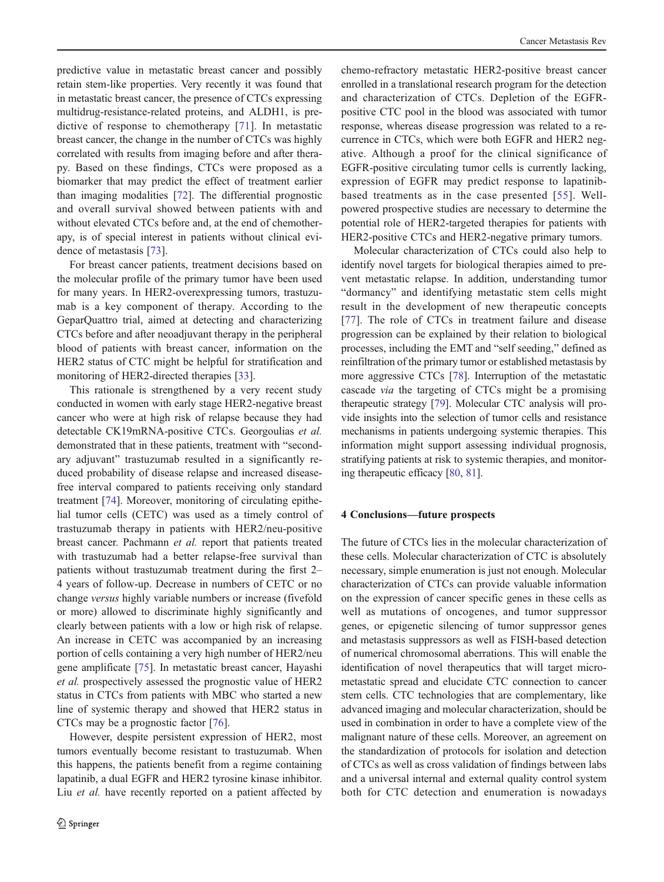predictive value in metastatic breast cancer and possibly retain stem-like properties. Very recently it was found that in metastatic breast cancer, the presence of CTCs expressing multidrug-resistance-related proteins, and ALDH1, is predictive of response to chemotherapy [\[71\]](#page-8-0). In metastatic breast cancer, the change in the number of CTCs was highly correlated with results from imaging before and after therapy. Based on these findings, CTCs were proposed as a biomarker that may predict the effect of treatment earlier than imaging modalities [[72\]](#page-8-0). The differential prognostic and overall survival showed between patients with and without elevated CTCs before and, at the end of chemotherapy, is of special interest in patients without clinical evidence of metastasis [[73\]](#page-8-0).

For breast cancer patients, treatment decisions based on the molecular profile of the primary tumor have been used for many years. In HER2-overexpressing tumors, trastuzumab is a key component of therapy. According to the GeparQuattro trial, aimed at detecting and characterizing CTCs before and after neoadjuvant therapy in the peripheral blood of patients with breast cancer, information on the HER2 status of CTC might be helpful for stratification and monitoring of HER2-directed therapies [[33\]](#page-7-0).

This rationale is strengthened by a very recent study conducted in women with early stage HER2-negative breast cancer who were at high risk of relapse because they had detectable CK19mRNA-positive CTCs. Georgoulias et al. demonstrated that in these patients, treatment with "secondary adjuvant" trastuzumab resulted in a significantly reduced probability of disease relapse and increased diseasefree interval compared to patients receiving only standard treatment [[74\]](#page-8-0). Moreover, monitoring of circulating epithelial tumor cells (CETC) was used as a timely control of trastuzumab therapy in patients with HER2/neu-positive breast cancer. Pachmann et al. report that patients treated with trastuzumab had a better relapse-free survival than patients without trastuzumab treatment during the first 2– 4 years of follow-up. Decrease in numbers of CETC or no change versus highly variable numbers or increase (fivefold or more) allowed to discriminate highly significantly and clearly between patients with a low or high risk of relapse. An increase in CETC was accompanied by an increasing portion of cells containing a very high number of HER2/neu gene amplificate [\[75](#page-8-0)]. In metastatic breast cancer, Hayashi et al. prospectively assessed the prognostic value of HER2 status in CTCs from patients with MBC who started a new line of systemic therapy and showed that HER2 status in CTCs may be a prognostic factor [[76\]](#page-8-0).

However, despite persistent expression of HER2, most tumors eventually become resistant to trastuzumab. When this happens, the patients benefit from a regime containing lapatinib, a dual EGFR and HER2 tyrosine kinase inhibitor. Liu *et al.* have recently reported on a patient affected by chemo-refractory metastatic HER2-positive breast cancer enrolled in a translational research program for the detection and characterization of CTCs. Depletion of the EGFRpositive CTC pool in the blood was associated with tumor response, whereas disease progression was related to a recurrence in CTCs, which were both EGFR and HER2 negative. Although a proof for the clinical significance of EGFR-positive circulating tumor cells is currently lacking, expression of EGFR may predict response to lapatinibbased treatments as in the case presented [[55](#page-7-0)]. Wellpowered prospective studies are necessary to determine the potential role of HER2-targeted therapies for patients with HER2-positive CTCs and HER2-negative primary tumors.

Molecular characterization of CTCs could also help to identify novel targets for biological therapies aimed to prevent metastatic relapse. In addition, understanding tumor "dormancy" and identifying metastatic stem cells might result in the development of new therapeutic concepts [\[77\]](#page-8-0). The role of CTCs in treatment failure and disease progression can be explained by their relation to biological processes, including the EMT and "self seeding," defined as reinfiltration of the primary tumor or established metastasis by more aggressive CTCs [\[78](#page-8-0)]. Interruption of the metastatic cascade via the targeting of CTCs might be a promising therapeutic strategy [[79\]](#page-8-0). Molecular CTC analysis will provide insights into the selection of tumor cells and resistance mechanisms in patients undergoing systemic therapies. This information might support assessing individual prognosis, stratifying patients at risk to systemic therapies, and monitoring therapeutic efficacy [\[80,](#page-8-0) [81\]](#page-8-0).

## 4 Conclusions—future prospects

The future of CTCs lies in the molecular characterization of these cells. Molecular characterization of CTC is absolutely necessary, simple enumeration is just not enough. Molecular characterization of CTCs can provide valuable information on the expression of cancer specific genes in these cells as well as mutations of oncogenes, and tumor suppressor genes, or epigenetic silencing of tumor suppressor genes and metastasis suppressors as well as FISH-based detection of numerical chromosomal aberrations. This will enable the identification of novel therapeutics that will target micrometastatic spread and elucidate CTC connection to cancer stem cells. CTC technologies that are complementary, like advanced imaging and molecular characterization, should be used in combination in order to have a complete view of the malignant nature of these cells. Moreover, an agreement on the standardization of protocols for isolation and detection of CTCs as well as cross validation of findings between labs and a universal internal and external quality control system both for CTC detection and enumeration is nowadays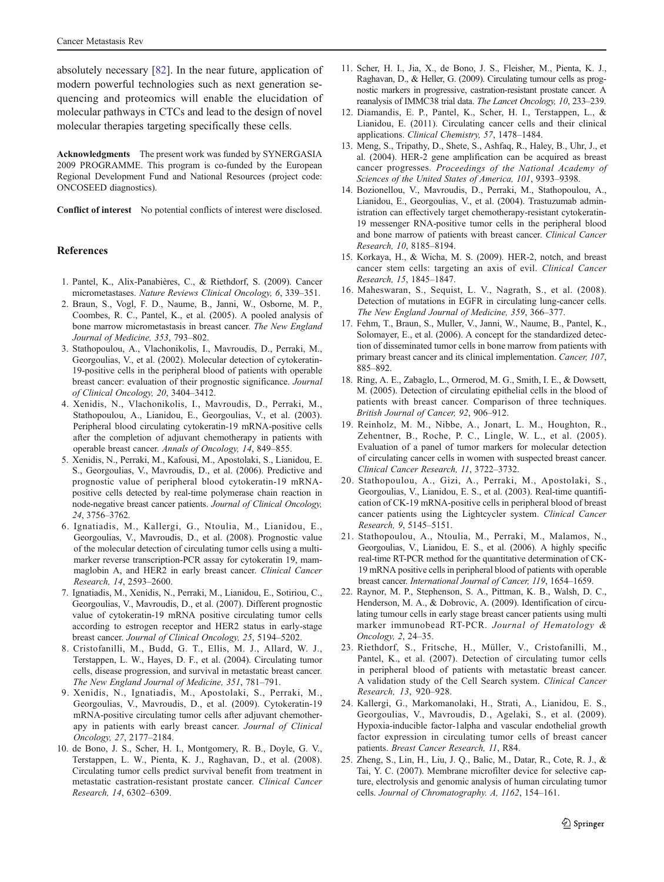<span id="page-6-0"></span>absolutely necessary [\[82](#page-8-0)]. In the near future, application of modern powerful technologies such as next generation sequencing and proteomics will enable the elucidation of molecular pathways in CTCs and lead to the design of novel molecular therapies targeting specifically these cells.

Acknowledgments The present work was funded by SYNERGASIA 2009 PROGRAMME. This program is co-funded by the European Regional Development Fund and National Resources (project code: ONCOSEED diagnostics).

Conflict of interest No potential conflicts of interest were disclosed.

## References

- 1. Pantel, K., Alix-Panabières, C., & Riethdorf, S. (2009). Cancer micrometastases. Nature Reviews Clinical Oncology, 6, 339–351.
- 2. Braun, S., Vogl, F. D., Naume, B., Janni, W., Osborne, M. P., Coombes, R. C., Pantel, K., et al. (2005). A pooled analysis of bone marrow micrometastasis in breast cancer. The New England Journal of Medicine, 353, 793–802.
- 3. Stathopoulou, A., Vlachonikolis, I., Mavroudis, D., Perraki, M., Georgoulias, V., et al. (2002). Molecular detection of cytokeratin-19-positive cells in the peripheral blood of patients with operable breast cancer: evaluation of their prognostic significance. Journal of Clinical Oncology, 20, 3404–3412.
- 4. Xenidis, N., Vlachonikolis, I., Mavroudis, D., Perraki, M., Stathopoulou, A., Lianidou, E., Georgoulias, V., et al. (2003). Peripheral blood circulating cytokeratin-19 mRNA-positive cells after the completion of adjuvant chemotherapy in patients with operable breast cancer. Annals of Oncology, 14, 849–855.
- 5. Xenidis, N., Perraki, M., Kafousi, M., Apostolaki, S., Lianidou, E. S., Georgoulias, V., Mavroudis, D., et al. (2006). Predictive and prognostic value of peripheral blood cytokeratin-19 mRNApositive cells detected by real-time polymerase chain reaction in node-negative breast cancer patients. Journal of Clinical Oncology, 24, 3756–3762.
- 6. Ignatiadis, M., Kallergi, G., Ntoulia, M., Lianidou, E., Georgoulias, V., Mavroudis, D., et al. (2008). Prognostic value of the molecular detection of circulating tumor cells using a multimarker reverse transcription-PCR assay for cytokeratin 19, mammaglobin A, and HER2 in early breast cancer. Clinical Cancer Research, 14, 2593–2600.
- 7. Ignatiadis, M., Xenidis, N., Perraki, M., Lianidou, E., Sotiriou, C., Georgoulias, V., Mavroudis, D., et al. (2007). Different prognostic value of cytokeratin-19 mRNA positive circulating tumor cells according to estrogen receptor and HER2 status in early-stage breast cancer. Journal of Clinical Oncology, 25, 5194–5202.
- 8. Cristofanilli, M., Budd, G. T., Ellis, M. J., Allard, W. J., Terstappen, L. W., Hayes, D. F., et al. (2004). Circulating tumor cells, disease progression, and survival in metastatic breast cancer. The New England Journal of Medicine, 351, 781–791.
- 9. Xenidis, N., Ignatiadis, M., Apostolaki, S., Perraki, M., Georgoulias, V., Mavroudis, D., et al. (2009). Cytokeratin-19 mRNA-positive circulating tumor cells after adjuvant chemotherapy in patients with early breast cancer. Journal of Clinical Oncology, 27, 2177–2184.
- 10. de Bono, J. S., Scher, H. I., Montgomery, R. B., Doyle, G. V., Terstappen, L. W., Pienta, K. J., Raghavan, D., et al. (2008). Circulating tumor cells predict survival benefit from treatment in metastatic castration-resistant prostate cancer. Clinical Cancer Research, 14, 6302–6309.
- 11. Scher, H. I., Jia, X., de Bono, J. S., Fleisher, M., Pienta, K. J., Raghavan, D., & Heller, G. (2009). Circulating tumour cells as prognostic markers in progressive, castration-resistant prostate cancer. A reanalysis of IMMC38 trial data. The Lancet Oncology, 10, 233–239.
- 12. Diamandis, E. P., Pantel, K., Scher, H. I., Terstappen, L., & Lianidou, E. (2011). Circulating cancer cells and their clinical applications. Clinical Chemistry, 57, 1478–1484.
- 13. Meng, S., Tripathy, D., Shete, S., Ashfaq, R., Haley, B., Uhr, J., et al. (2004). HER-2 gene amplification can be acquired as breast cancer progresses. Proceedings of the National Academy of Sciences of the United States of America, 101, 9393–9398.
- 14. Bozionellou, V., Mavroudis, D., Perraki, M., Stathopoulou, A., Lianidou, E., Georgoulias, V., et al. (2004). Trastuzumab administration can effectively target chemotherapy-resistant cytokeratin-19 messenger RNA-positive tumor cells in the peripheral blood and bone marrow of patients with breast cancer. Clinical Cancer Research, 10, 8185–8194.
- 15. Korkaya, H., & Wicha, M. S. (2009). HER-2, notch, and breast cancer stem cells: targeting an axis of evil. Clinical Cancer Research, 15, 1845–1847.
- 16. Maheswaran, S., Sequist, L. V., Nagrath, S., et al. (2008). Detection of mutations in EGFR in circulating lung-cancer cells. The New England Journal of Medicine, 359, 366–377.
- 17. Fehm, T., Braun, S., Muller, V., Janni, W., Naume, B., Pantel, K., Solomayer, E., et al. (2006). A concept for the standardized detection of disseminated tumor cells in bone marrow from patients with primary breast cancer and its clinical implementation. Cancer, 107, 885–892.
- 18. Ring, A. E., Zabaglo, L., Ormerod, M. G., Smith, I. E., & Dowsett, M. (2005). Detection of circulating epithelial cells in the blood of patients with breast cancer. Comparison of three techniques. British Journal of Cancer, 92, 906–912.
- 19. Reinholz, M. M., Nibbe, A., Jonart, L. M., Houghton, R., Zehentner, B., Roche, P. C., Lingle, W. L., et al. (2005). Evaluation of a panel of tumor markers for molecular detection of circulating cancer cells in women with suspected breast cancer. Clinical Cancer Research, 11, 3722–3732.
- 20. Stathopoulou, A., Gizi, A., Perraki, M., Apostolaki, S., Georgoulias, V., Lianidou, E. S., et al. (2003). Real-time quantification of CK-19 mRNA-positive cells in peripheral blood of breast cancer patients using the Lightcycler system. Clinical Cancer Research, 9, 5145–5151.
- 21. Stathopoulou, A., Ntoulia, M., Perraki, M., Malamos, N., Georgoulias, V., Lianidou, E. S., et al. (2006). A highly specific real-time RT-PCR method for the quantitative determination of CK-19 mRNA positive cells in peripheral blood of patients with operable breast cancer. International Journal of Cancer, 119, 1654–1659.
- 22. Raynor, M. P., Stephenson, S. A., Pittman, K. B., Walsh, D. C., Henderson, M. A., & Dobrovic, A. (2009). Identification of circulating tumour cells in early stage breast cancer patients using multi marker immunobead RT-PCR. Journal of Hematology & Oncology, 2, 24–35.
- 23. Riethdorf, S., Fritsche, H., Müller, V., Cristofanilli, M., Pantel, K., et al. (2007). Detection of circulating tumor cells in peripheral blood of patients with metastatic breast cancer. A validation study of the Cell Search system. Clinical Cancer Research, 13, 920–928.
- 24. Kallergi, G., Markomanolaki, H., Strati, A., Lianidou, E. S., Georgoulias, V., Mavroudis, D., Agelaki, S., et al. (2009). Hypoxia-inducible factor-1alpha and vascular endothelial growth factor expression in circulating tumor cells of breast cancer patients. Breast Cancer Research, 11, R84.
- 25. Zheng, S., Lin, H., Liu, J. Q., Balic, M., Datar, R., Cote, R. J., & Tai, Y. C. (2007). Membrane microfilter device for selective capture, electrolysis and genomic analysis of human circulating tumor cells. Journal of Chromatography. A, 1162, 154–161.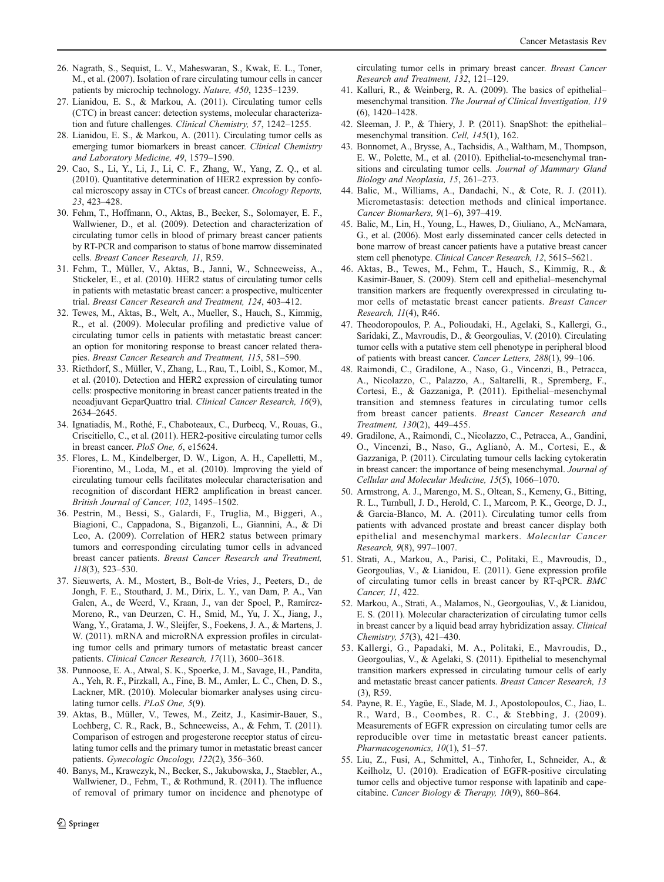- <span id="page-7-0"></span>26. Nagrath, S., Sequist, L. V., Maheswaran, S., Kwak, E. L., Toner, M., et al. (2007). Isolation of rare circulating tumour cells in cancer patients by microchip technology. Nature, 450, 1235–1239.
- 27. Lianidou, E. S., & Markou, A. (2011). Circulating tumor cells (CTC) in breast cancer: detection systems, molecular characterization and future challenges. Clinical Chemistry, 57, 1242–1255.
- 28. Lianidou, E. S., & Markou, A. (2011). Circulating tumor cells as emerging tumor biomarkers in breast cancer. Clinical Chemistry and Laboratory Medicine, 49, 1579–1590.
- 29. Cao, S., Li, Y., Li, J., Li, C. F., Zhang, W., Yang, Z. Q., et al. (2010). Quantitative determination of HER2 expression by confocal microscopy assay in CTCs of breast cancer. Oncology Reports, 23, 423–428.
- 30. Fehm, T., Hoffmann, O., Aktas, B., Becker, S., Solomayer, E. F., Wallwiener, D., et al. (2009). Detection and characterization of circulating tumor cells in blood of primary breast cancer patients by RT-PCR and comparison to status of bone marrow disseminated cells. Breast Cancer Research, 11, R59.
- 31. Fehm, T., Müller, V., Aktas, B., Janni, W., Schneeweiss, A., Stickeler, E., et al. (2010). HER2 status of circulating tumor cells in patients with metastatic breast cancer: a prospective, multicenter trial. Breast Cancer Research and Treatment, 124, 403–412.
- 32. Tewes, M., Aktas, B., Welt, A., Mueller, S., Hauch, S., Kimmig, R., et al. (2009). Molecular profiling and predictive value of circulating tumor cells in patients with metastatic breast cancer: an option for monitoring response to breast cancer related therapies. Breast Cancer Research and Treatment, 115, 581–590.
- 33. Riethdorf, S., Müller, V., Zhang, L., Rau, T., Loibl, S., Komor, M., et al. (2010). Detection and HER2 expression of circulating tumor cells: prospective monitoring in breast cancer patients treated in the neoadjuvant GeparQuattro trial. Clinical Cancer Research, 16(9), 2634–2645.
- 34. Ignatiadis, M., Rothé, F., Chaboteaux, C., Durbecq, V., Rouas, G., Criscitiello, C., et al. (2011). HER2-positive circulating tumor cells in breast cancer. PloS One, 6, e15624.
- 35. Flores, L. M., Kindelberger, D. W., Ligon, A. H., Capelletti, M., Fiorentino, M., Loda, M., et al. (2010). Improving the yield of circulating tumour cells facilitates molecular characterisation and recognition of discordant HER2 amplification in breast cancer. British Journal of Cancer, 102, 1495–1502.
- 36. Pestrin, M., Bessi, S., Galardi, F., Truglia, M., Biggeri, A., Biagioni, C., Cappadona, S., Biganzoli, L., Giannini, A., & Di Leo, A. (2009). Correlation of HER2 status between primary tumors and corresponding circulating tumor cells in advanced breast cancer patients. Breast Cancer Research and Treatment, 118(3), 523–530.
- 37. Sieuwerts, A. M., Mostert, B., Bolt-de Vries, J., Peeters, D., de Jongh, F. E., Stouthard, J. M., Dirix, L. Y., van Dam, P. A., Van Galen, A., de Weerd, V., Kraan, J., van der Spoel, P., Ramírez-Moreno, R., van Deurzen, C. H., Smid, M., Yu, J. X., Jiang, J., Wang, Y., Gratama, J. W., Sleijfer, S., Foekens, J. A., & Martens, J. W. (2011). mRNA and microRNA expression profiles in circulating tumor cells and primary tumors of metastatic breast cancer patients. Clinical Cancer Research, 17(11), 3600–3618.
- 38. Punnoose, E. A., Atwal, S. K., Spoerke, J. M., Savage, H., Pandita, A., Yeh, R. F., Pirzkall, A., Fine, B. M., Amler, L. C., Chen, D. S., Lackner, MR. (2010). Molecular biomarker analyses using circulating tumor cells. PLoS One, 5(9).
- 39. Aktas, B., Müller, V., Tewes, M., Zeitz, J., Kasimir-Bauer, S., Loehberg, C. R., Rack, B., Schneeweiss, A., & Fehm, T. (2011). Comparison of estrogen and progesterone receptor status of circulating tumor cells and the primary tumor in metastatic breast cancer patients. Gynecologic Oncology, 122(2), 356–360.
- 40. Banys, M., Krawczyk, N., Becker, S., Jakubowska, J., Staebler, A., Wallwiener, D., Fehm, T., & Rothmund, R. (2011). The influence of removal of primary tumor on incidence and phenotype of

circulating tumor cells in primary breast cancer. Breast Cancer Research and Treatment, 132, 121–129.

- 41. Kalluri, R., & Weinberg, R. A. (2009). The basics of epithelial– mesenchymal transition. The Journal of Clinical Investigation, 119 (6), 1420–1428.
- 42. Sleeman, J. P., & Thiery, J. P. (2011). SnapShot: the epithelial– mesenchymal transition. Cell, 145(1), 162.
- 43. Bonnomet, A., Brysse, A., Tachsidis, A., Waltham, M., Thompson, E. W., Polette, M., et al. (2010). Epithelial-to-mesenchymal transitions and circulating tumor cells. Journal of Mammary Gland Biology and Neoplasia, 15, 261–273.
- 44. Balic, M., Williams, A., Dandachi, N., & Cote, R. J. (2011). Micrometastasis: detection methods and clinical importance. Cancer Biomarkers, 9(1–6), 397–419.
- 45. Balic, M., Lin, H., Young, L., Hawes, D., Giuliano, A., McNamara, G., et al. (2006). Most early disseminated cancer cells detected in bone marrow of breast cancer patients have a putative breast cancer stem cell phenotype. Clinical Cancer Research, 12, 5615–5621.
- 46. Aktas, B., Tewes, M., Fehm, T., Hauch, S., Kimmig, R., & Kasimir-Bauer, S. (2009). Stem cell and epithelial–mesenchymal transition markers are frequently overexpressed in circulating tumor cells of metastatic breast cancer patients. Breast Cancer Research, 11(4), R46.
- 47. Theodoropoulos, P. A., Polioudaki, H., Agelaki, S., Kallergi, G., Saridaki, Z., Mavroudis, D., & Georgoulias, V. (2010). Circulating tumor cells with a putative stem cell phenotype in peripheral blood of patients with breast cancer. Cancer Letters, 288(1), 99–106.
- 48. Raimondi, C., Gradilone, A., Naso, G., Vincenzi, B., Petracca, A., Nicolazzo, C., Palazzo, A., Saltarelli, R., Spremberg, F., Cortesi, E., & Gazzaniga, P. (2011). Epithelial–mesenchymal transition and stemness features in circulating tumor cells from breast cancer patients. Breast Cancer Research and Treatment, 130(2), 449–455.
- 49. Gradilone, A., Raimondi, C., Nicolazzo, C., Petracca, A., Gandini, O., Vincenzi, B., Naso, G., Aglianò, A. M., Cortesi, E., & Gazzaniga, P. (2011). Circulating tumour cells lacking cytokeratin in breast cancer: the importance of being mesenchymal. Journal of Cellular and Molecular Medicine, 15(5), 1066–1070.
- 50. Armstrong, A. J., Marengo, M. S., Oltean, S., Kemeny, G., Bitting, R. L., Turnbull, J. D., Herold, C. I., Marcom, P. K., George, D. J., & Garcia-Blanco, M. A. (2011). Circulating tumor cells from patients with advanced prostate and breast cancer display both epithelial and mesenchymal markers. Molecular Cancer Research, 9(8), 997–1007.
- 51. Strati, A., Markou, A., Parisi, C., Politaki, E., Mavroudis, D., Georgoulias, V., & Lianidou, E. (2011). Gene expression profile of circulating tumor cells in breast cancer by RT-qPCR. BMC Cancer, 11, 422.
- 52. Markou, A., Strati, A., Malamos, N., Georgoulias, V., & Lianidou, E. S. (2011). Molecular characterization of circulating tumor cells in breast cancer by a liquid bead array hybridization assay. Clinical Chemistry, 57(3), 421–430.
- 53. Kallergi, G., Papadaki, M. A., Politaki, E., Mavroudis, D., Georgoulias, V., & Agelaki, S. (2011). Epithelial to mesenchymal transition markers expressed in circulating tumour cells of early and metastatic breast cancer patients. Breast Cancer Research, 13 (3), R59.
- 54. Payne, R. E., Yagüe, E., Slade, M. J., Apostolopoulos, C., Jiao, L. R., Ward, B., Coombes, R. C., & Stebbing, J. (2009). Measurements of EGFR expression on circulating tumor cells are reproducible over time in metastatic breast cancer patients. Pharmacogenomics, 10(1), 51-57.
- 55. Liu, Z., Fusi, A., Schmittel, A., Tinhofer, I., Schneider, A., & Keilholz, U. (2010). Eradication of EGFR-positive circulating tumor cells and objective tumor response with lapatinib and capecitabine. Cancer Biology & Therapy, 10(9), 860–864.